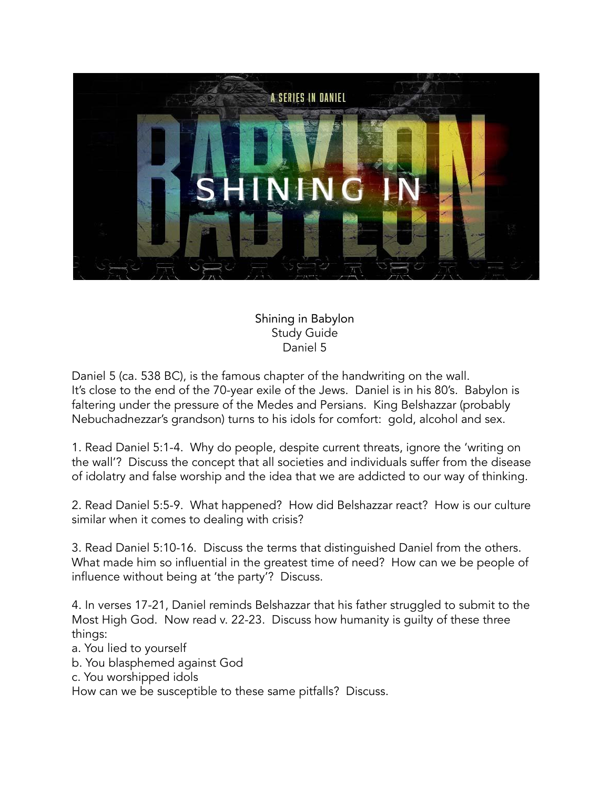

Shining in Babylon Study Guide Daniel 5

Daniel 5 (ca. 538 BC), is the famous chapter of the handwriting on the wall. It's close to the end of the 70-year exile of the Jews. Daniel is in his 80's. Babylon is faltering under the pressure of the Medes and Persians. King Belshazzar (probably Nebuchadnezzar's grandson) turns to his idols for comfort: gold, alcohol and sex.

1. Read Daniel 5:1-4. Why do people, despite current threats, ignore the 'writing on the wall'? Discuss the concept that all societies and individuals suffer from the disease of idolatry and false worship and the idea that we are addicted to our way of thinking.

2. Read Daniel 5:5-9. What happened? How did Belshazzar react? How is our culture similar when it comes to dealing with crisis?

3. Read Daniel 5:10-16. Discuss the terms that distinguished Daniel from the others. What made him so influential in the greatest time of need? How can we be people of influence without being at 'the party'? Discuss.

4. In verses 17-21, Daniel reminds Belshazzar that his father struggled to submit to the Most High God. Now read v. 22-23. Discuss how humanity is guilty of these three things:

- a. You lied to yourself
- b. You blasphemed against God
- c. You worshipped idols

How can we be susceptible to these same pitfalls? Discuss.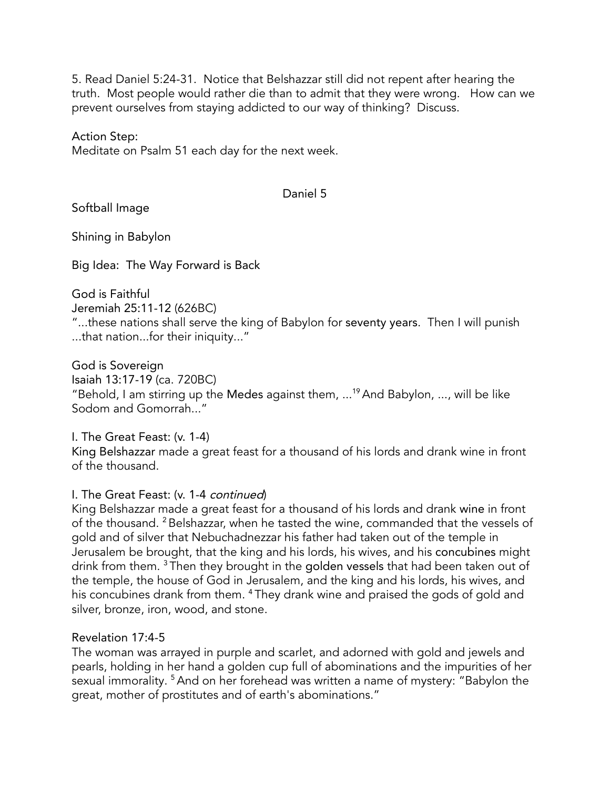5. Read Daniel 5:24-31. Notice that Belshazzar still did not repent after hearing the truth. Most people would rather die than to admit that they were wrong. How can we prevent ourselves from staying addicted to our way of thinking? Discuss.

Action Step:

Meditate on Psalm 51 each day for the next week.

#### Daniel 5

Softball Image

Shining in Babylon

Big Idea: The Way Forward is Back

God is Faithful

Jeremiah 25:11-12 (626BC)

"...these nations shall serve the king of Babylon for seventy years. Then I will punish ...that nation...for their iniquity..."

God is Sovereign

Isaiah 13:17-19 (ca. 720BC)

"Behold, I am stirring up the Medes against them, ... <sup>19</sup>And Babylon, ..., will be like Sodom and Gomorrah..."

I. The Great Feast: (v. 1-4) King Belshazzar made a great feast for a thousand of his lords and drank wine in front of the thousand.

## I. The Great Feast: (v. 1-4 continued)

King Belshazzar made a great feast for a thousand of his lords and drank wine in front of the thousand. <sup>2</sup> Belshazzar, when he tasted the wine, commanded that the vessels of gold and of silver that Nebuchadnezzar his father had taken out of the temple in Jerusalem be brought, that the king and his lords, his wives, and his concubines might drink from them.  $^3$ Then they brought in the golden vessels that had been taken out of the temple, the house of God in Jerusalem, and the king and his lords, his wives, and his concubines drank from them. <sup>4</sup> They drank wine and praised the gods of gold and silver, bronze, iron, wood, and stone.

## Revelation 17:4-5

The woman was arrayed in purple and scarlet, and adorned with gold and jewels and pearls, holding in her hand a golden cup full of abominations and the impurities of her sexual immorality. <sup>5</sup> And on her forehead was written a name of mystery: "Babylon the great, mother of prostitutes and of earth's abominations."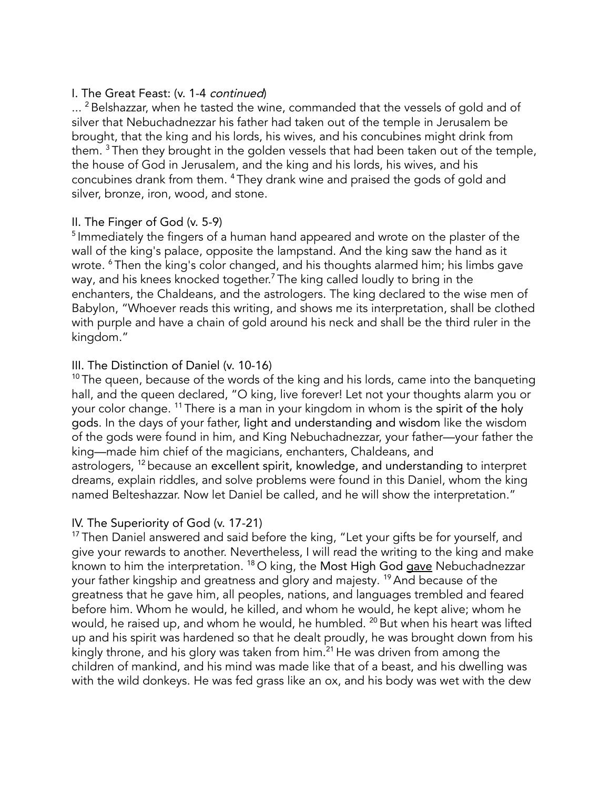### I. The Great Feast: (v. 1-4 continued)

 $\ldots$   $^2$  Belshazzar, when he tasted the wine, commanded that the vessels of gold and of silver that Nebuchadnezzar his father had taken out of the temple in Jerusalem be brought, that the king and his lords, his wives, and his concubines might drink from them.  $^3$  Then they brought in the golden vessels that had been taken out of the temple, the house of God in Jerusalem, and the king and his lords, his wives, and his concubines drank from them. <sup>4</sup> They drank wine and praised the gods of gold and silver, bronze, iron, wood, and stone.

### II. The Finger of God (v. 5-9)

<sup>5</sup> Immediately the fingers of a human hand appeared and wrote on the plaster of the wall of the king's palace, opposite the lampstand. And the king saw the hand as it wrote. <sup>6</sup> Then the king's color changed, and his thoughts alarmed him; his limbs gave way, and his knees knocked together.<sup>7</sup> The king called loudly to bring in the enchanters, the Chaldeans, and the astrologers. The king declared to the wise men of Babylon, "Whoever reads this writing, and shows me its interpretation, shall be clothed with purple and have a chain of gold around his neck and shall be the third ruler in the kingdom."

### III. The Distinction of Daniel (v. 10-16)

 $10$  The queen, because of the words of the king and his lords, came into the banqueting hall, and the queen declared, "O king, live forever! Let not your thoughts alarm you or your color change. <sup>11</sup> There is a man in your kingdom in whom is the **spirit of the holy** gods. In the days of your father, light and understanding and wisdom like the wisdom of the gods were found in him, and King Nebuchadnezzar, your father—your father the king—made him chief of the magicians, enchanters, Chaldeans, and astrologers, <sup>12</sup> because an <mark>excellent spirit, knowledge, and understanding</mark> to interpret dreams, explain riddles, and solve problems were found in this Daniel, whom the king named Belteshazzar. Now let Daniel be called, and he will show the interpretation."

#### IV. The Superiority of God (v. 17-21)

<sup>17</sup> Then Daniel answered and said before the king, "Let your gifts be for yourself, and give your rewards to another. Nevertheless, I will read the writing to the king and make known to him the interpretation. <sup>18</sup> O king, the Most High God <u>gave</u> Nebuchadnezzar your father kingship and greatness and glory and majesty. <sup>19</sup>And because of the greatness that he gave him, all peoples, nations, and languages trembled and feared before him. Whom he would, he killed, and whom he would, he kept alive; whom he would, he raised up, and whom he would, he humbled. <sup>20</sup> But when his heart was lifted up and his spirit was hardened so that he dealt proudly, he was brought down from his kingly throne, and his glory was taken from him. <sup>21</sup> He was driven from among the children of mankind, and his mind was made like that of a beast, and his dwelling was with the wild donkeys. He was fed grass like an ox, and his body was wet with the dew